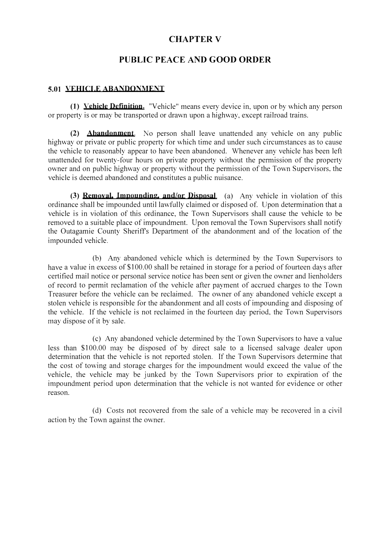## **CHAPTERV**

## **PUBLIC PEACE AND GOOD ORDER**

## 5.01 YEHICLE ABANDONMENT

(1) Vehicle Definition. "Vehicle" means every device in, upon or by which any person or property is or may be transported or drawn upon a highway, except railroad trains.

(2) **Abandonment**. No person shall leave unattended any vehicle on any public highway or private or public property for which time and under such circumstances as to cause the vehicle to reasonably appear to have been abandoned. Whenever any vehicle has been left unattended for twenty-four hours on private property without the permission of the property owner and on public highway or property without the permission of the Town Supervisors, the vehicle is deemed abandoned and constitutes a public nuisance.

(3) Removal, Impounding, and/or Disposal. (a) Any vehicle in violation of this ordinance shall be impounded until lawfully claimed or disposed of. Upon determination that a vehicle is in violation of this ordinance, the Town Supervisors shall cause the vehicle to be removed to a suitable place of impoundment. Upon removal the Town Supervisors shall notify the Outagamie County Sheriffs Department of the abandonment and of the location of the impounded vehicle.

(b) Any abandoned vehicle which is determined by the Town Supervisors to have a value in excess of \$100.00 shall be retained in storage for a period of fourteen days after certified mail notice or personal service notice has been sent or given the owner and lienholders of record to permit reclamation of the vehicle after payment of accrued charges to the Town Treasurer before the vehicle can be reclaimed. The owner of any abandoned vehicle except a stolen vehicle is responsible for the abandonment and all costs of impounding and disposing of the vehicle. If the vehicle is not reclaimed in the fourteen day period, the Town Supervisors may dispose of it by sale.

(c) Any abandoned vehicle determined by the Town Supervisors to have a value less than \$100.00 may be disposed of by direct sale to a licensed salvage dealer upon determination that the vehicle is not reported stolen. If the Town Supervisors determine that the cost of towing and storage charges for the impoundment would exceed the value of the vehicle, the vehicle may be junked by the Town Supervisors prior to expiration of the impoundment period upon determination that the vehicle is not wanted for evidence or other reason.

(d) Costs not recovered from the sale of a vehicle may be recovered in a civil action by the Town against the owner.